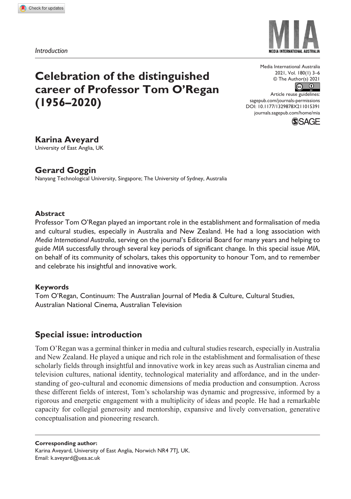*Introduction*

# **Celebration of the distinguished career of Professor Tom O'Regan (1956–2020)**

Media International Australia 2021, Vol. 180(1) 3–6  $\circledcirc$  The Author(s) 2021

DOI: 10.1177/1329878X211015391 Article reuse guidelines: [sagepub.com/journals-permissions](https://uk.sagepub.com/en-gb/journals-permissions) [journals.sagepub.com/home/mia](http://journals.sagepub.com/home/mia)



## **Karina Aveyard**

University of East Anglia, UK

# **Gerard Goggin**

Nanyang Technological University, Singapore; The University of Sydney, Australia

## **Abstract**

Professor Tom O'Regan played an important role in the establishment and formalisation of media and cultural studies, especially in Australia and New Zealand. He had a long association with *Media International Australia*, serving on the journal's Editorial Board for many years and helping to guide *MIA* successfully through several key periods of significant change. In this special issue *MIA*, on behalf of its community of scholars, takes this opportunity to honour Tom, and to remember and celebrate his insightful and innovative work.

## **Keywords**

Tom O'Regan, Continuum: The Australian Journal of Media & Culture, Cultural Studies, Australian National Cinema, Australian Television

# **Special issue: introduction**

Tom O'Regan was a germinal thinker in media and cultural studies research, especially in Australia and New Zealand. He played a unique and rich role in the establishment and formalisation of these scholarly fields through insightful and innovative work in key areas such as Australian cinema and television cultures, national identity, technological materiality and affordance, and in the understanding of geo-cultural and economic dimensions of media production and consumption. Across these different fields of interest, Tom's scholarship was dynamic and progressive, informed by a rigorous and energetic engagement with a multiplicity of ideas and people. He had a remarkable capacity for collegial generosity and mentorship, expansive and lively conversation, generative conceptualisation and pioneering research.

**Corresponding author:**

Karina Aveyard, University of East Anglia, Norwich NR4 7TJ, UK. Email: [k.aveyard@uea.ac.uk](mailto:k.aveyard@uea.ac.uk)

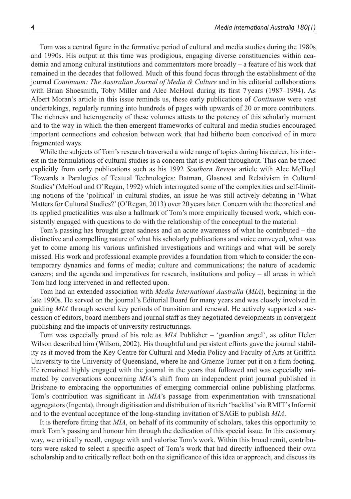Tom was a central figure in the formative period of cultural and media studies during the 1980s and 1990s. His output at this time was prodigious, engaging diverse constituencies within academia and among cultural institutions and commentators more broadly – a feature of his work that remained in the decades that followed. Much of this found focus through the establishment of the journal *Continuum: The Australian Journal of Media & Culture* and in his editorial collaborations with Brian Shoesmith, Toby Miller and Alec McHoul during its first 7 years (1987–1994). As Albert Moran's article in this issue reminds us, these early publications of *Continuum* were vast undertakings, regularly running into hundreds of pages with upwards of 20 or more contributors. The richness and heterogeneity of these volumes attests to the potency of this scholarly moment and to the way in which the then emergent frameworks of cultural and media studies encouraged important connections and cohesion between work that had hitherto been conceived of in more fragmented ways.

While the subjects of Tom's research traversed a wide range of topics during his career, his interest in the formulations of cultural studies is a concern that is evident throughout. This can be traced explicitly from early publications such as his 1992 *Southern Review* article with Alec McHoul 'Towards a Paralogics of Textual Technologies: Batman, Glasnost and Relativism in Cultural Studies' (McHoul and O'Regan, 1992) which interrogated some of the complexities and self-limiting notions of the 'political' in cultural studies, an issue he was still actively debating in 'What Matters for Cultural Studies?' (O'Regan, 2013) over 20years later. Concern with the theoretical and its applied practicalities was also a hallmark of Tom's more empirically focused work, which consistently engaged with questions to do with the relationship of the conceptual to the material.

Tom's passing has brought great sadness and an acute awareness of what he contributed – the distinctive and compelling nature of what his scholarly publications and voice conveyed, what was yet to come among his various unfinished investigations and writings and what will be sorely missed. His work and professional example provides a foundation from which to consider the contemporary dynamics and forms of media; culture and communications; the nature of academic careers; and the agenda and imperatives for research, institutions and policy – all areas in which Tom had long intervened in and reflected upon.

Tom had an extended association with *Media International Australia* (*MIA*), beginning in the late 1990s. He served on the journal's Editorial Board for many years and was closely involved in guiding *MIA* through several key periods of transition and renewal. He actively supported a succession of editors, board members and journal staff as they negotiated developments in convergent publishing and the impacts of university restructurings.

Tom was especially proud of his role as *MIA* Publisher – 'guardian angel', as editor Helen Wilson described him (Wilson, 2002). His thoughtful and persistent efforts gave the journal stability as it moved from the Key Centre for Cultural and Media Policy and Faculty of Arts at Griffith University to the University of Queensland, where he and Graeme Turner put it on a firm footing. He remained highly engaged with the journal in the years that followed and was especially animated by conversations concerning *MIA*'s shift from an independent print journal published in Brisbane to embracing the opportunities of emerging commercial online publishing platforms. Tom's contribution was significant in *MIA*'s passage from experimentation with transnational aggregators (Ingenta), through digitisation and distribution of its rich 'backlist' via RMIT's Informit and to the eventual acceptance of the long-standing invitation of SAGE to publish *MIA*.

It is therefore fitting that *MIA*, on behalf of its community of scholars, takes this opportunity to mark Tom's passing and honour him through the dedication of this special issue. In this customary way, we critically recall, engage with and valorise Tom's work. Within this broad remit, contributors were asked to select a specific aspect of Tom's work that had directly influenced their own scholarship and to critically reflect both on the significance of this idea or approach, and discuss its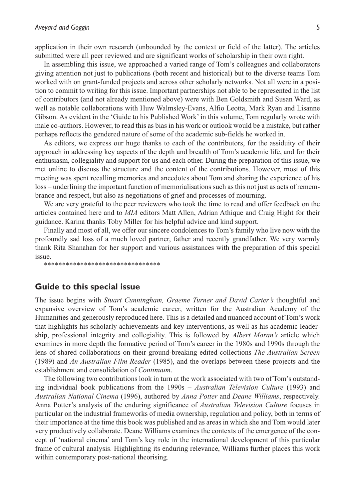application in their own research (unbounded by the context or field of the latter). The articles submitted were all peer reviewed and are significant works of scholarship in their own right.

In assembling this issue, we approached a varied range of Tom's colleagues and collaborators giving attention not just to publications (both recent and historical) but to the diverse teams Tom worked with on grant-funded projects and across other scholarly networks. Not all were in a position to commit to writing for this issue. Important partnerships not able to be represented in the list of contributors (and not already mentioned above) were with Ben Goldsmith and Susan Ward, as well as notable collaborations with Huw Walmsley-Evans, Alfio Leotta, Mark Ryan and Lisanne Gibson. As evident in the 'Guide to his Published Work' in this volume, Tom regularly wrote with male co-authors. However, to read this as bias in his work or outlook would be a mistake, but rather perhaps reflects the gendered nature of some of the academic sub-fields he worked in.

As editors, we express our huge thanks to each of the contributors, for the assiduity of their approach in addressing key aspects of the depth and breadth of Tom's academic life, and for their enthusiasm, collegiality and support for us and each other. During the preparation of this issue, we met online to discuss the structure and the content of the contributions. However, most of this meeting was spent recalling memories and anecdotes about Tom and sharing the experience of his loss – underlining the important function of memorialisations such as this not just as acts of remembrance and respect, but also as negotiations of grief and processes of mourning.

We are very grateful to the peer reviewers who took the time to read and offer feedback on the articles contained here and to *MIA* editors Matt Allen, Adrian Athique and Craig Hight for their guidance. Karina thanks Toby Miller for his helpful advice and kind support.

Finally and most of all, we offer our sincere condolences to Tom's family who live now with the profoundly sad loss of a much loved partner, father and recently grandfather. We very warmly thank Rita Shanahan for her support and various assistances with the preparation of this special issue.

\*\*\*\*\*\*\*\*\*\*\*\*\*\*\*\*\*\*\*\*\*\*\*\*\*\*\*\*\*\*\*\*

### **Guide to this special issue**

The issue begins with *Stuart Cunningham, Graeme Turner and David Carter's* thoughtful and expansive overview of Tom's academic career, written for the Australian Academy of the Humanities and generously reproduced here. This is a detailed and nuanced account of Tom's work that highlights his scholarly achievements and key interventions, as well as his academic leadership, professional integrity and collegiality. This is followed by *Albert Moran's* article which examines in more depth the formative period of Tom's career in the 1980s and 1990s through the lens of shared collaborations on their ground-breaking edited collections *The Australian Screen* (1989) and *An Australian Film Reader* (1985), and the overlaps between these projects and the establishment and consolidation of *Continuum*.

The following two contributions look in turn at the work associated with two of Tom's outstanding individual book publications from the 1990s – *Australian Television Culture* (1993) and *Australian National Cinema* (1996), authored by *Anna Potter* and *Deane Williams*, respectively. Anna Potter's analysis of the enduring significance of *Australian Television Culture* focuses in particular on the industrial frameworks of media ownership, regulation and policy, both in terms of their importance at the time this book was published and as areas in which she and Tom would later very productively collaborate. Deane Williams examines the contexts of the emergence of the concept of 'national cinema' and Tom's key role in the international development of this particular frame of cultural analysis. Highlighting its enduring relevance, Williams further places this work within contemporary post-national theorising.